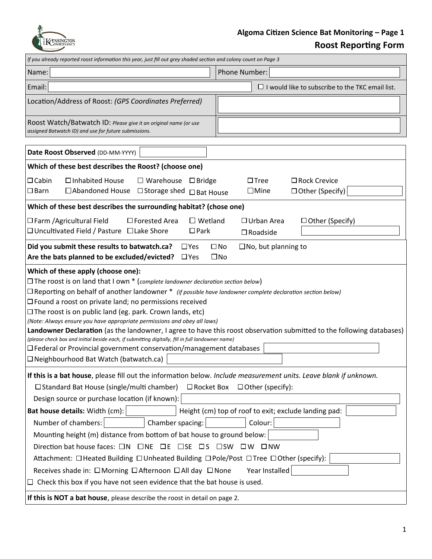

## **Algoma Citizen Science Bat Monitoring – Page 1 Roost Reporting Form**

| If you already reported roost information this year, just fill out grey shaded section and colony count on Page 3                                                                                                                                                                                                                                                                                                                                                                                                                                                                                                                                                                                                                                                                                                                                                         |                                                                           |
|---------------------------------------------------------------------------------------------------------------------------------------------------------------------------------------------------------------------------------------------------------------------------------------------------------------------------------------------------------------------------------------------------------------------------------------------------------------------------------------------------------------------------------------------------------------------------------------------------------------------------------------------------------------------------------------------------------------------------------------------------------------------------------------------------------------------------------------------------------------------------|---------------------------------------------------------------------------|
| Name:                                                                                                                                                                                                                                                                                                                                                                                                                                                                                                                                                                                                                                                                                                                                                                                                                                                                     | Phone Number:                                                             |
| Email:                                                                                                                                                                                                                                                                                                                                                                                                                                                                                                                                                                                                                                                                                                                                                                                                                                                                    | $\Box$ I would like to subscribe to the TKC email list.                   |
| Location/Address of Roost: (GPS Coordinates Preferred)                                                                                                                                                                                                                                                                                                                                                                                                                                                                                                                                                                                                                                                                                                                                                                                                                    |                                                                           |
| Roost Watch/Batwatch ID: Please give it an original name (or use<br>assigned Batwatch ID) and use for future submissions.                                                                                                                                                                                                                                                                                                                                                                                                                                                                                                                                                                                                                                                                                                                                                 |                                                                           |
| Date Roost Observed (DD-MM-YYYY)                                                                                                                                                                                                                                                                                                                                                                                                                                                                                                                                                                                                                                                                                                                                                                                                                                          |                                                                           |
| Which of these best describes the Roost? (choose one)                                                                                                                                                                                                                                                                                                                                                                                                                                                                                                                                                                                                                                                                                                                                                                                                                     |                                                                           |
| $\Box$ Cabin<br>□ Inhabited House<br>$\Box$ Warehouse $\Box$ Bridge<br>$\square$ Barn<br>□ Abandoned House<br>$\Box$ Storage shed $\Box$ Bat House                                                                                                                                                                                                                                                                                                                                                                                                                                                                                                                                                                                                                                                                                                                        | $\Box$ Rock Crevice<br>$\Box$ Tree<br>$\square$ Mine<br>□ Other (Specify) |
| Which of these best describes the surrounding habitat? (chose one)                                                                                                                                                                                                                                                                                                                                                                                                                                                                                                                                                                                                                                                                                                                                                                                                        |                                                                           |
| $\square$ Wetland<br>$\Box$ Farm / Agricultural Field<br>$\Box$ Forested Area<br>□ Uncultivated Field / Pasture □ Lake Shore<br>$\Box$ Park                                                                                                                                                                                                                                                                                                                                                                                                                                                                                                                                                                                                                                                                                                                               | $\Box$ Urban Area<br>$\Box$ Other (Specify)<br>$\Box$ Roadside            |
| Did you submit these results to batwatch.ca?<br>$\Box$ Yes<br>$\square$ No<br>$\square$ No, but planning to<br>Are the bats planned to be excluded/evicted?<br>$\Box$ Yes<br>$\square$ No                                                                                                                                                                                                                                                                                                                                                                                                                                                                                                                                                                                                                                                                                 |                                                                           |
| Which of these apply (choose one):<br>$\Box$ The roost is on land that I own $*$ (complete landowner declaration section below)<br>$\Box$ Reporting on behalf of another landowner $*$ (if possible have landowner complete declaration section below)<br>$\Box$ Found a roost on private land; no permissions received<br>$\Box$ The roost is on public land (eg. park. Crown lands, etc)<br>(Note: Always ensure you have appropriate permissions and obey all laws)<br>Landowner Declaration (as the landowner, I agree to have this roost observation submitted to the following databases)<br>(please check box and initial beside each, if submitting digitally, fill in full landowner name)<br>$\Box$ Federal or Provincial government conservation/management databases<br>□ Neighbourhood Bat Watch (batwatch.ca)                                               |                                                                           |
| If this is a bat house, please fill out the information below. Include measurement units. Leave blank if unknown.<br>$\Box$ Standard Bat House (single/multi chamber)<br>$\Box$ Rocket Box<br>$\Box$ Other (specify):<br>Design source or purchase location (if known):<br>Height (cm) top of roof to exit; exclude landing pad:<br>Bat house details: Width (cm):<br>Number of chambers:<br>Chamber spacing:<br>Colour:<br>Mounting height (m) distance from bottom of bat house to ground below:<br>Direction bat house faces: $\Box N$ $\Box NE$ $\Box E$ $\Box SE$ $\Box S$ $\Box SW$ $\Box W$ $\Box NW$<br>Attachment: □ Heated Building □ Unheated Building □ Pole/Post □ Tree □ Other (specify):<br>Year Installed<br>Receives shade in: □ Morning □ Afternoon □ All day □ None<br>$\Box$ Check this box if you have not seen evidence that the bat house is used. |                                                                           |
| If this is NOT a bat house, please describe the roost in detail on page 2.                                                                                                                                                                                                                                                                                                                                                                                                                                                                                                                                                                                                                                                                                                                                                                                                |                                                                           |